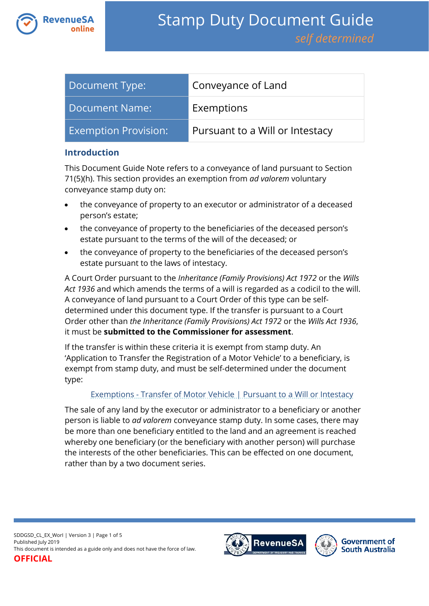

| Document Type:              | Conveyance of Land              |
|-----------------------------|---------------------------------|
| <b>Document Name:</b>       | Exemptions                      |
| <b>Exemption Provision:</b> | Pursuant to a Will or Intestacy |

#### **Introduction**

This Document Guide Note refers to a conveyance of land pursuant to Section 71(5)(h). This section provides an exemption from *ad valorem* voluntary conveyance stamp duty on:

- the conveyance of property to an executor or administrator of a deceased person's estate;
- the conveyance of property to the beneficiaries of the deceased person's estate pursuant to the terms of the will of the deceased; or
- the conveyance of property to the beneficiaries of the deceased person's estate pursuant to the laws of intestacy.

A Court Order pursuant to the *Inheritance (Family Provisions) Act 1972* or the *Wills Act 1936* and which amends the terms of a will is regarded as a codicil to the will. A conveyance of land pursuant to a Court Order of this type can be selfdetermined under this document type. If the transfer is pursuant to a Court Order other than *the Inheritance (Family Provisions) Act 1972* or the *Wills Act 1936*, it must be **submitted to the Commissioner for assessment**.

If the transfer is within these criteria it is exempt from stamp duty. An 'Application to Transfer the Registration of a Motor Vehicle' to a beneficiary, is exempt from stamp duty, and must be self-determined under the document type:

#### Exemptions - [Transfer of Motor Vehicle | Pursuant to a Will or Intestacy](https://www.revenuesa.sa.gov.au/stampduty/stamp-duty-document-guide/self-determined/exemptions-transfer-of-motor-vehicles/sddgsd_exmv_worl)

The sale of any land by the executor or administrator to a beneficiary or another person is liable to *ad valorem* conveyance stamp duty. In some cases, there may be more than one beneficiary entitled to the land and an agreement is reached whereby one beneficiary (or the beneficiary with another person) will purchase the interests of the other beneficiaries. This can be effected on one document, rather than by a two document series.

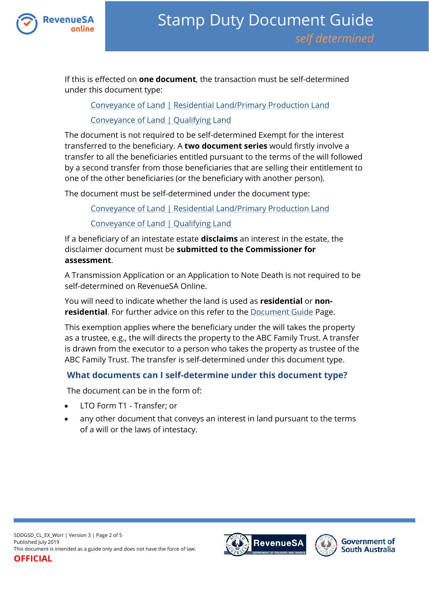

If this is effected on **one document**, the transaction must be self-determined under this document type:

[Conveyance of Land | Residential Land/Primary Production Land](https://www.revenuesa.sa.gov.au/stampduty/stamp-duty-document-guide/self-determined/conveyance-of-land/sddgsd_cl_rpp)

[Conveyance of Land | Qualifying Land](https://www.revenuesa.sa.gov.au/stampduty/stamp-duty-document-guide/self-determined/conveyance-of-land/sddgsd_cl_ql)

The document is not required to be self-determined Exempt for the interest transferred to the beneficiary. A **two document series** would firstly involve a transfer to all the beneficiaries entitled pursuant to the terms of the will followed by a second transfer from those beneficiaries that are selling their entitlement to one of the other beneficiaries (or the beneficiary with another person).

The document must be self-determined under the document type:

[Conveyance of Land | Residential Land/Primary Production Land](https://www.revenuesa.sa.gov.au/stampduty/stamp-duty-document-guide/self-determined/conveyance-of-land/sddgsd_cl_rpp)

[Conveyance of Land | Qualifying Land](https://www.revenuesa.sa.gov.au/stampduty/stamp-duty-document-guide/self-determined/conveyance-of-land/sddgsd_cl_ql)

If a beneficiary of an intestate estate **disclaims** an interest in the estate, the disclaimer document must be **submitted to the Commissioner for assessment**.

A Transmission Application or an Application to Note Death is not required to be self-determined on RevenueSA Online.

You will need to indicate whether the land is used as **residential** or **nonresidential**. For further advice on this refer to the [Document Guide](https://www.revenuesa.sa.gov.au/stampduty/stamp-duty-document-guide#Glossary) Page.

This exemption applies where the beneficiary under the will takes the property as a trustee, e.g., the will directs the property to the ABC Family Trust. A transfer is drawn from the executor to a person who takes the property as trustee of the ABC Family Trust. The transfer is self-determined under this document type.

# **What documents can I self-determine under this document type?**

The document can be in the form of:

- LTO Form T1 Transfer; or
- any other document that conveys an interest in land pursuant to the terms of a will or the laws of intestacy.

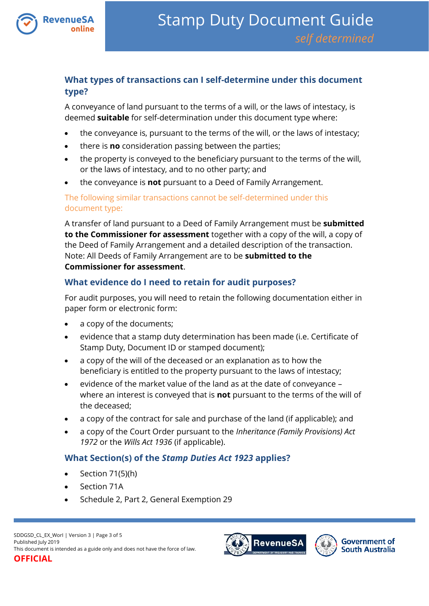

# **What types of transactions can I self-determine under this document type?**

A conveyance of land pursuant to the terms of a will, or the laws of intestacy, is deemed **suitable** for self-determination under this document type where:

- the conveyance is, pursuant to the terms of the will, or the laws of intestacy;
- there is **no** consideration passing between the parties;
- the property is conveyed to the beneficiary pursuant to the terms of the will, or the laws of intestacy, and to no other party; and
- the conveyance is **not** pursuant to a Deed of Family Arrangement.

The following similar transactions cannot be self-determined under this document type:

A transfer of land pursuant to a Deed of Family Arrangement must be **submitted to the Commissioner for assessment** together with a copy of the will, a copy of the Deed of Family Arrangement and a detailed description of the transaction. Note: All Deeds of Family Arrangement are to be **submitted to the Commissioner for assessment**.

# **What evidence do I need to retain for audit purposes?**

For audit purposes, you will need to retain the following documentation either in paper form or electronic form:

- a copy of the documents;
- evidence that a stamp duty determination has been made (i.e. Certificate of Stamp Duty, Document ID or stamped document);
- a copy of the will of the deceased or an explanation as to how the beneficiary is entitled to the property pursuant to the laws of intestacy;
- $\bullet$  evidence of the market value of the land as at the date of conveyance where an interest is conveyed that is **not** pursuant to the terms of the will of the deceased;
- a copy of the contract for sale and purchase of the land (if applicable); and
- a copy of the Court Order pursuant to the *Inheritance (Family Provisions) Act 1972* or the *Wills Act 1936* (if applicable).

# **What Section(s) of the** *Stamp Duties Act 1923* **applies?**

- $\bullet$  Section 71(5)(h)
- Section 71A
- Schedule 2, Part 2, General Exemption 29



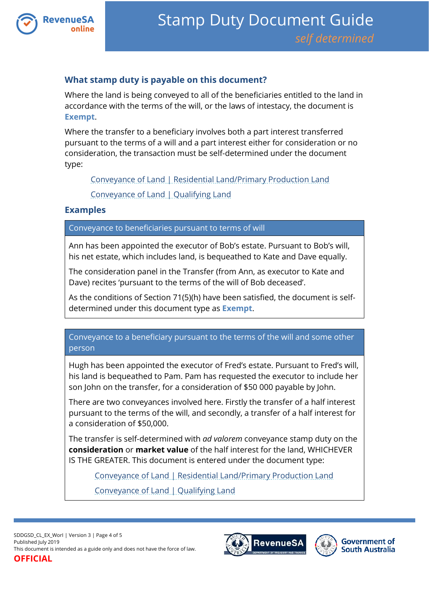

### **What stamp duty is payable on this document?**

Where the land is being conveyed to all of the beneficiaries entitled to the land in accordance with the terms of the will, or the laws of intestacy, the document is **Exempt**.

Where the transfer to a beneficiary involves both a part interest transferred pursuant to the terms of a will and a part interest either for consideration or no consideration, the transaction must be self-determined under the document type:

[Conveyance of Land | Residential Land/Primary Production Land](https://www.revenuesa.sa.gov.au/stampduty/stamp-duty-document-guide/self-determined/conveyance-of-land/sddgsd_cl_rpp)

[Conveyance of Land | Qualifying Land](https://www.revenuesa.sa.gov.au/stampduty/stamp-duty-document-guide/self-determined/conveyance-of-land/sddgsd_cl_ql)

#### **Examples**

Conveyance to beneficiaries pursuant to terms of will

Ann has been appointed the executor of Bob's estate. Pursuant to Bob's will, his net estate, which includes land, is bequeathed to Kate and Dave equally.

The consideration panel in the Transfer (from Ann, as executor to Kate and Dave) recites 'pursuant to the terms of the will of Bob deceased'.

As the conditions of Section 71(5)(h) have been satisfied, the document is selfdetermined under this document type as **Exempt**.

Conveyance to a beneficiary pursuant to the terms of the will and some other person

Hugh has been appointed the executor of Fred's estate. Pursuant to Fred's will, his land is bequeathed to Pam. Pam has requested the executor to include her son John on the transfer, for a consideration of \$50 000 payable by John.

There are two conveyances involved here. Firstly the transfer of a half interest pursuant to the terms of the will, and secondly, a transfer of a half interest for a consideration of \$50,000.

The transfer is self-determined with *ad valorem* conveyance stamp duty on the **consideration** or **market value** of the half interest for the land, WHICHEVER IS THE GREATER. This document is entered under the document type:

[Conveyance of Land | Residential Land/Primary Production Land](https://www.revenuesa.sa.gov.au/stampduty/stamp-duty-document-guide/self-determined/conveyance-of-land/sddgsd_cl_rpp) [Conveyance of Land | Qualifying Land](https://www.revenuesa.sa.gov.au/stampduty/stamp-duty-document-guide/self-determined/conveyance-of-land/sddgsd_cl_ql)